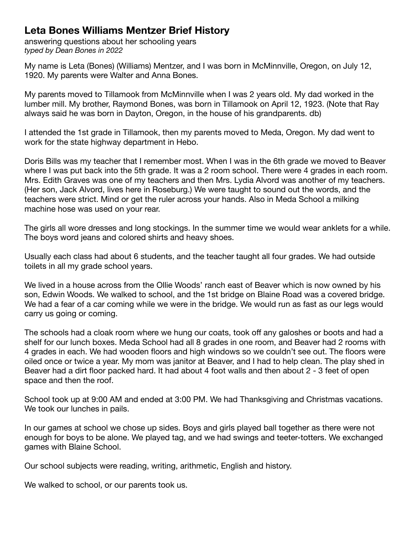## **Leta Bones Williams Mentzer Brief History**

answering questions about her schooling years *typed by Dean Bones in 2022*

My name is Leta (Bones) (Williams) Mentzer, and I was born in McMinnville, Oregon, on July 12, 1920. My parents were Walter and Anna Bones.

My parents moved to Tillamook from McMinnville when I was 2 years old. My dad worked in the lumber mill. My brother, Raymond Bones, was born in Tillamook on April 12, 1923. (Note that Ray always said he was born in Dayton, Oregon, in the house of his grandparents. db)

I attended the 1st grade in Tillamook, then my parents moved to Meda, Oregon. My dad went to work for the state highway department in Hebo.

Doris Bills was my teacher that I remember most. When I was in the 6th grade we moved to Beaver where I was put back into the 5th grade. It was a 2 room school. There were 4 grades in each room. Mrs. Edith Graves was one of my teachers and then Mrs. Lydia Alvord was another of my teachers. (Her son, Jack Alvord, lives here in Roseburg.) We were taught to sound out the words, and the teachers were strict. Mind or get the ruler across your hands. Also in Meda School a milking machine hose was used on your rear.

The girls all wore dresses and long stockings. In the summer time we would wear anklets for a while. The boys word jeans and colored shirts and heavy shoes.

Usually each class had about 6 students, and the teacher taught all four grades. We had outside toilets in all my grade school years.

We lived in a house across from the Ollie Woods' ranch east of Beaver which is now owned by his son, Edwin Woods. We walked to school, and the 1st bridge on Blaine Road was a covered bridge. We had a fear of a car coming while we were in the bridge. We would run as fast as our legs would carry us going or coming.

The schools had a cloak room where we hung our coats, took off any galoshes or boots and had a shelf for our lunch boxes. Meda School had all 8 grades in one room, and Beaver had 2 rooms with 4 grades in each. We had wooden floors and high windows so we couldn't see out. The floors were oiled once or twice a year. My mom was janitor at Beaver, and I had to help clean. The play shed in Beaver had a dirt floor packed hard. It had about 4 foot walls and then about 2 - 3 feet of open space and then the roof.

School took up at 9:00 AM and ended at 3:00 PM. We had Thanksgiving and Christmas vacations. We took our lunches in pails.

In our games at school we chose up sides. Boys and girls played ball together as there were not enough for boys to be alone. We played tag, and we had swings and teeter-totters. We exchanged games with Blaine School.

Our school subjects were reading, writing, arithmetic, English and history.

We walked to school, or our parents took us.